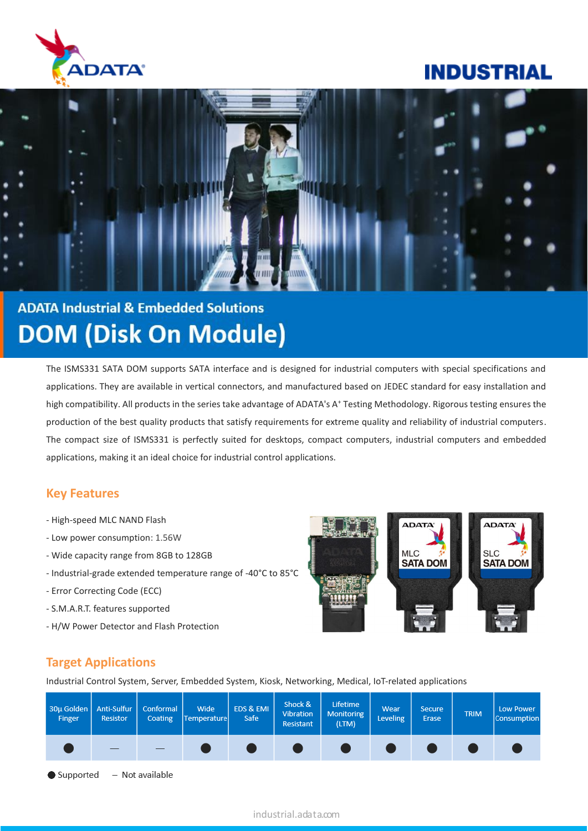

# **INDUSTRIAL**



# **ADATA Industrial & Embedded Solutions DOM (Disk On Module)**

The ISMS331 SATA DOM supports SATA interface and is designed for industrial computers with special specifications and applications. They are available in vertical connectors, and manufactured based on JEDEC standard for easy installation and high compatibility. All products in the series take advantage of ADATA's A<sup>+</sup> Testing Methodology. Rigorous testing ensures the production of the best quality products that satisfy requirements for extreme quality and reliability of industrial computers. The compact size of ISMS331 is perfectly suited for desktops, compact computers, industrial computers and embedded applications, making it an ideal choice for industrial control applications.

## **Key Features**

- High-speed MLC NAND Flash
- Low power consumption: 1.56W
- Wide capacity range from 8GB to 128GB
- Industrial-grade extended temperature range of -40°C to 85°C
- Error Correcting Code (ECC)
- S.M.A.R.T. features supported
- H/W Power Detector and Flash Protection



## **Target Applications**

Industrial Control System, Server, Embedded System, Kiosk, Networking, Medical, IoT-related applications

| 30µ Golden   Anti-Sulfur   Conformal<br>Finger | <b>Resistor</b> | Coating | Wide<br>Temperature | EDS & EMI<br>Safe | Shock &<br>Vibration<br>Resistant | Lifetime<br>Monitoring<br>(LTM) | Wear<br><b>Leveling</b> | <b>Secure</b><br>Erase | <b>TRIM</b> | Low Power<br>Consumption |
|------------------------------------------------|-----------------|---------|---------------------|-------------------|-----------------------------------|---------------------------------|-------------------------|------------------------|-------------|--------------------------|
|                                                |                 |         |                     |                   |                                   |                                 |                         |                        |             |                          |

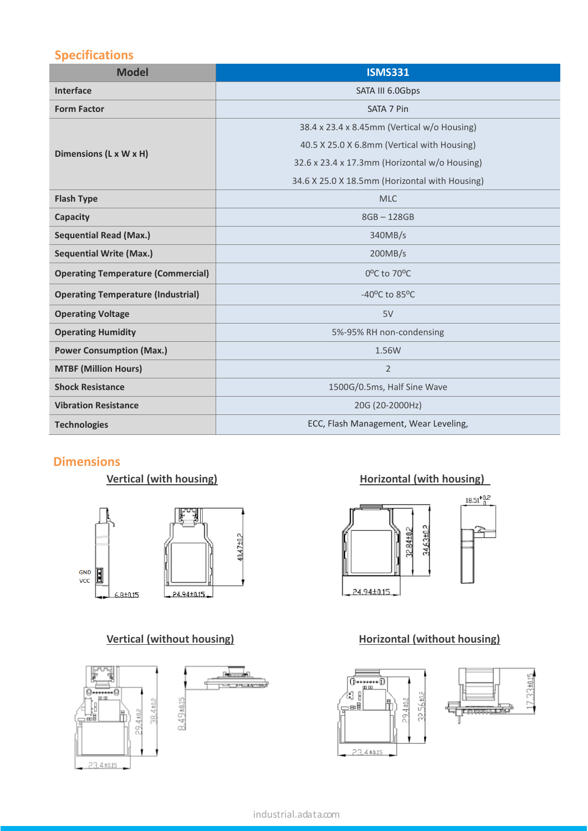# **Specifications**

| <b>Model</b>                              | <b>ISMS331</b>                                 |  |  |
|-------------------------------------------|------------------------------------------------|--|--|
| <b>Interface</b>                          | SATA III 6.0Gbps                               |  |  |
| <b>Form Factor</b>                        | SATA 7 Pin                                     |  |  |
|                                           | 38.4 x 23.4 x 8.45mm (Vertical w/o Housing)    |  |  |
| Dimensions (L x W x H)                    | 40.5 X 25.0 X 6.8mm (Vertical with Housing)    |  |  |
|                                           | 32.6 x 23.4 x 17.3mm (Horizontal w/o Housing)  |  |  |
|                                           | 34.6 X 25.0 X 18.5mm (Horizontal with Housing) |  |  |
| <b>Flash Type</b>                         | <b>MLC</b>                                     |  |  |
| Capacity                                  | $8GB - 128GB$                                  |  |  |
| <b>Sequential Read (Max.)</b>             | 340MB/s                                        |  |  |
| <b>Sequential Write (Max.)</b>            | 200MB/s                                        |  |  |
| <b>Operating Temperature (Commercial)</b> | $0^{\circ}$ C to 70 $^{\circ}$ C               |  |  |
| <b>Operating Temperature (Industrial)</b> | -40 $^{\circ}$ C to 85 $^{\circ}$ C            |  |  |
| <b>Operating Voltage</b>                  | 5V                                             |  |  |
| <b>Operating Humidity</b>                 | 5%-95% RH non-condensing                       |  |  |
| <b>Power Consumption (Max.)</b>           | 1.56W                                          |  |  |
| <b>MTBF (Million Hours)</b>               | $\overline{2}$                                 |  |  |
| <b>Shock Resistance</b>                   | 1500G/0.5ms, Half Sine Wave                    |  |  |
| <b>Vibration Resistance</b>               | 20G (20-2000Hz)                                |  |  |
| <b>Technologies</b>                       | ECC, Flash Management, Wear Leveling,          |  |  |

## **Dimensions**





### **Vertical (with housing) Vertical (with housing)**



### **Vertical (without housing) Horizontal (without housing)**